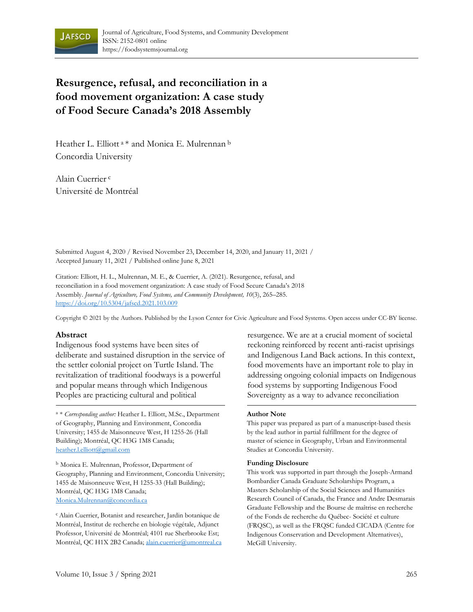

# **Resurgence, refusal, and reconciliation in a food movement organization: A case study of Food Secure Canada's 2018 Assembly**

Heather L. Elliott<sup>a</sup> \* and Monica E. Mulrennan b Concordia University

Alain Cuerrier c Université de Montréal

Submitted August 4, 2020 / Revised November 23, December 14, 2020, and January 11, 2021 / Accepted January 11, 2021 / Published online June 8, 2021

Citation: Elliott, H. L., Mulrennan, M. E., & Cuerrier, A. (2021). Resurgence, refusal, and reconciliation in a food movement organization: A case study of Food Secure Canada's 2018 Assembly. *Journal of Agriculture, Food Systems, and Community Development, 10*(3), 265–285. https://doi.org/10.5304/jafscd.2021.103.009

Copyright © 2021 by the Authors. Published by the Lyson Center for Civic Agriculture and Food Systems. Open access under CC-BY license.

#### **Abstract**

Indigenous food systems have been sites of deliberate and sustained disruption in the service of the settler colonial project on Turtle Island. The revitalization of traditional foodways is a powerful and popular means through which Indigenous Peoples are practicing cultural and political

<sup>a</sup> \* *Corresponding author:* Heather L. Elliott, M.Sc., Department of Geography, Planning and Environment, Concordia University; 1455 de Maisonneuve West, H 1255-26 (Hall Building); Montréal, QC H3G 1M8 Canada; heather.l.elliott@gmail.com

<sup>b</sup> Monica E. Mulrennan, Professor, Department of Geography, Planning and Environment, Concordia University; 1455 de Maisonneuve West, H 1255-33 (Hall Building); Montréal, QC H3G 1M8 Canada; Monica.Mulrennan@concordia.ca

c Alain Cuerrier, Botanist and researcher, Jardin botanique de Montréal, Institut de recherche en biologie végétale, Adjunct Professor, Université de Montréal; 4101 rue Sherbrooke Est; Montréal, QC H1X 2B2 Canada; alain.cuerrier@umontreal.ca resurgence. We are at a crucial moment of societal reckoning reinforced by recent anti-racist uprisings and Indigenous Land Back actions. In this context, food movements have an important role to play in addressing ongoing colonial impacts on Indigenous food systems by supporting Indigenous Food Sovereignty as a way to advance reconciliation

#### **Author Note**

This paper was prepared as part of a manuscript-based thesis by the lead author in partial fulfillment for the degree of master of science in Geography, Urban and Environmental Studies at Concordia University.

#### **Funding Disclosure**

This work was supported in part through the Joseph-Armand Bombardier Canada Graduate Scholarships Program, a Masters Scholarship of the Social Sciences and Humanities Research Council of Canada, the France and Andre Desmarais Graduate Fellowship and the Bourse de maîtrise en recherche of the Fonds de recherche du Québec- Société et culture (FRQSC), as well as the FRQSC funded CICADA (Centre for Indigenous Conservation and Development Alternatives), McGill University.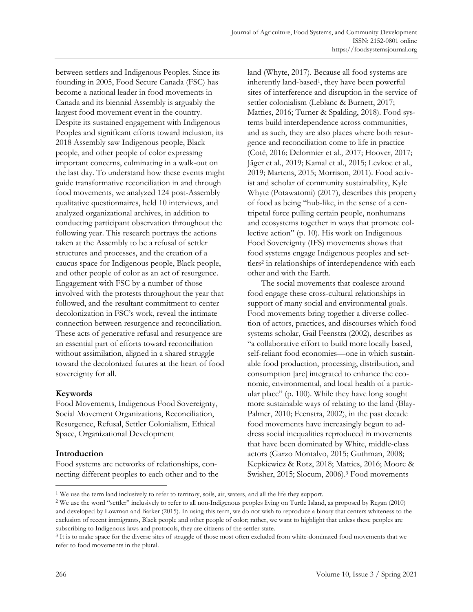between settlers and Indigenous Peoples. Since its founding in 2005, Food Secure Canada (FSC) has become a national leader in food movements in Canada and its biennial Assembly is arguably the largest food movement event in the country. Despite its sustained engagement with Indigenous Peoples and significant efforts toward inclusion, its 2018 Assembly saw Indigenous people, Black people, and other people of color expressing important concerns, culminating in a walk-out on the last day. To understand how these events might guide transformative reconciliation in and through food movements, we analyzed 124 post-Assembly qualitative questionnaires, held 10 interviews, and analyzed organizational archives, in addition to conducting participant observation throughout the following year. This research portrays the actions taken at the Assembly to be a refusal of settler structures and processes, and the creation of a caucus space for Indigenous people, Black people, and other people of color as an act of resurgence. Engagement with FSC by a number of those involved with the protests throughout the year that followed, and the resultant commitment to center decolonization in FSC's work, reveal the intimate connection between resurgence and reconciliation. These acts of generative refusal and resurgence are an essential part of efforts toward reconciliation without assimilation, aligned in a shared struggle toward the decolonized futures at the heart of food sovereignty for all.

# **Keywords**

Food Movements, Indigenous Food Sovereignty, Social Movement Organizations, Reconciliation, Resurgence, Refusal, Settler Colonialism, Ethical Space, Organizational Development

## **Introduction**

Food systems are networks of relationships, connecting different peoples to each other and to the

land (Whyte, 2017). Because all food systems are inherently land-based1, they have been powerful sites of interference and disruption in the service of settler colonialism (Leblanc & Burnett, 2017; Matties, 2016; Turner & Spalding, 2018). Food systems build interdependence across communities, and as such, they are also places where both resurgence and reconciliation come to life in practice (Coté, 2016; Delormier et al., 2017; Hoover, 2017; Jäger et al., 2019; Kamal et al., 2015; Levkoe et al., 2019; Martens, 2015; Morrison, 2011). Food activist and scholar of community sustainability, Kyle Whyte (Potawatomi) (2017), describes this property of food as being "hub-like, in the sense of a centripetal force pulling certain people, nonhumans and ecosystems together in ways that promote collective action" (p. 10). His work on Indigenous Food Sovereignty (IFS) movements shows that food systems engage Indigenous peoples and settlers<sup>2</sup> in relationships of interdependence with each other and with the Earth.

 The social movements that coalesce around food engage these cross-cultural relationships in support of many social and environmental goals. Food movements bring together a diverse collection of actors, practices, and discourses which food systems scholar, Gail Feenstra (2002), describes as "a collaborative effort to build more locally based, self-reliant food economies—one in which sustainable food production, processing, distribution, and consumption [are] integrated to enhance the economic, environmental, and local health of a particular place" (p. 100). While they have long sought more sustainable ways of relating to the land (Blay-Palmer, 2010; Feenstra, 2002), in the past decade food movements have increasingly begun to address social inequalities reproduced in movements that have been dominated by White, middle-class actors (Garzo Montalvo, 2015; Guthman, 2008; Kepkiewicz & Rotz, 2018; Matties, 2016; Moore & Swisher, 2015; Slocum, 2006).3 Food movements

<sup>1</sup> We use the term land inclusively to refer to territory, soils, air, waters, and all the life they support.

<sup>2</sup> We use the word "settler" inclusively to refer to all non-Indigenous peoples living on Turtle Island, as proposed by Regan (2010) and developed by Lowman and Barker (2015). In using this term, we do not wish to reproduce a binary that centers whiteness to the exclusion of recent immigrants, Black people and other people of color; rather, we want to highlight that unless these peoples are subscribing to Indigenous laws and protocols, they are citizens of the settler state.

<sup>3</sup> It is to make space for the diverse sites of struggle of those most often excluded from white-dominated food movements that we refer to food movements in the plural.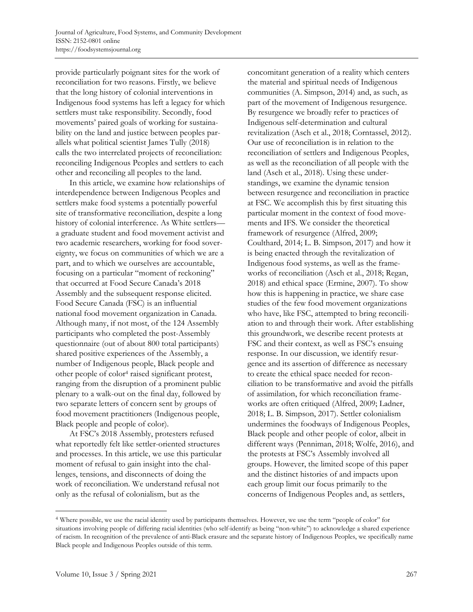provide particularly poignant sites for the work of reconciliation for two reasons. Firstly, we believe that the long history of colonial interventions in Indigenous food systems has left a legacy for which settlers must take responsibility. Secondly, food movements' paired goals of working for sustainability on the land and justice between peoples parallels what political scientist James Tully (2018) calls the two interrelated projects of reconciliation: reconciling Indigenous Peoples and settlers to each other and reconciling all peoples to the land.

 In this article, we examine how relationships of interdependence between Indigenous Peoples and settlers make food systems a potentially powerful site of transformative reconciliation, despite a long history of colonial interference. As White settlers a graduate student and food movement activist and two academic researchers, working for food sovereignty, we focus on communities of which we are a part, and to which we ourselves are accountable, focusing on a particular "moment of reckoning" that occurred at Food Secure Canada's 2018 Assembly and the subsequent response elicited. Food Secure Canada (FSC) is an influential national food movement organization in Canada. Although many, if not most, of the 124 Assembly participants who completed the post-Assembly questionnaire (out of about 800 total participants) shared positive experiences of the Assembly, a number of Indigenous people, Black people and other people of color4 raised significant protest, ranging from the disruption of a prominent public plenary to a walk-out on the final day, followed by two separate letters of concern sent by groups of food movement practitioners (Indigenous people, Black people and people of color).

 At FSC's 2018 Assembly, protesters refused what reportedly felt like settler-oriented structures and processes. In this article, we use this particular moment of refusal to gain insight into the challenges, tensions, and disconnects of doing the work of reconciliation. We understand refusal not only as the refusal of colonialism, but as the

concomitant generation of a reality which centers the material and spiritual needs of Indigenous communities (A. Simpson, 2014) and, as such, as part of the movement of Indigenous resurgence. By resurgence we broadly refer to practices of Indigenous self-determination and cultural revitalization (Asch et al., 2018; Corntassel, 2012). Our use of reconciliation is in relation to the reconciliation of settlers and Indigenous Peoples, as well as the reconciliation of all people with the land (Asch et al., 2018). Using these understandings, we examine the dynamic tension between resurgence and reconciliation in practice at FSC. We accomplish this by first situating this particular moment in the context of food movements and IFS. We consider the theoretical framework of resurgence (Alfred, 2009; Coulthard, 2014; L. B. Simpson, 2017) and how it is being enacted through the revitalization of Indigenous food systems, as well as the frameworks of reconciliation (Asch et al., 2018; Regan, 2018) and ethical space (Ermine, 2007). To show how this is happening in practice, we share case studies of the few food movement organizations who have, like FSC, attempted to bring reconciliation to and through their work. After establishing this groundwork, we describe recent protests at FSC and their context, as well as FSC's ensuing response. In our discussion, we identify resurgence and its assertion of difference as necessary to create the ethical space needed for reconciliation to be transformative and avoid the pitfalls of assimilation, for which reconciliation frameworks are often critiqued (Alfred, 2009; Ladner, 2018; L. B. Simpson, 2017). Settler colonialism undermines the foodways of Indigenous Peoples, Black people and other people of color, albeit in different ways (Penniman, 2018; Wolfe, 2016), and the protests at FSC's Assembly involved all groups. However, the limited scope of this paper and the distinct histories of and impacts upon each group limit our focus primarily to the concerns of Indigenous Peoples and, as settlers,

<sup>4</sup> Where possible, we use the racial identity used by participants themselves. However, we use the term "people of color" for situations involving people of differing racial identities (who self-identify as being "non-white") to acknowledge a shared experience of racism. In recognition of the prevalence of anti-Black erasure and the separate history of Indigenous Peoples, we specifically name Black people and Indigenous Peoples outside of this term.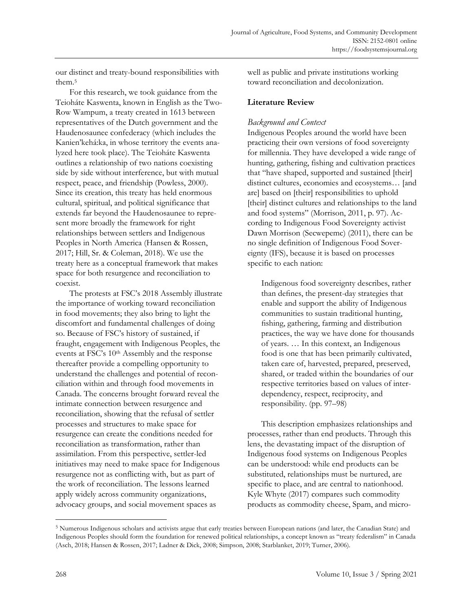our distinct and treaty-bound responsibilities with them.5

 For this research, we took guidance from the Teioháte Kaswenta, known in English as the Two-Row Wampum, a treaty created in 1613 between representatives of the Dutch government and the Haudenosaunee confederacy (which includes the Kanien'kehá:ka, in whose territory the events analyzed here took place). The Teioháte Kaswenta outlines a relationship of two nations coexisting side by side without interference, but with mutual respect, peace, and friendship (Powless, 2000). Since its creation, this treaty has held enormous cultural, spiritual, and political significance that extends far beyond the Haudenosaunee to represent more broadly the framework for right relationships between settlers and Indigenous Peoples in North America (Hansen & Rossen, 2017; Hill, Sr. & Coleman, 2018). We use the treaty here as a conceptual framework that makes space for both resurgence and reconciliation to coexist.

 The protests at FSC's 2018 Assembly illustrate the importance of working toward reconciliation in food movements; they also bring to light the discomfort and fundamental challenges of doing so. Because of FSC's history of sustained, if fraught, engagement with Indigenous Peoples, the events at FSC's 10th Assembly and the response thereafter provide a compelling opportunity to understand the challenges and potential of reconciliation within and through food movements in Canada. The concerns brought forward reveal the intimate connection between resurgence and reconciliation, showing that the refusal of settler processes and structures to make space for resurgence can create the conditions needed for reconciliation as transformation, rather than assimilation. From this perspective, settler-led initiatives may need to make space for Indigenous resurgence not as conflicting with, but as part of the work of reconciliation. The lessons learned apply widely across community organizations, advocacy groups, and social movement spaces as

well as public and private institutions working toward reconciliation and decolonization.

# **Literature Review**

# *Background and Context*

Indigenous Peoples around the world have been practicing their own versions of food sovereignty for millennia. They have developed a wide range of hunting, gathering, fishing and cultivation practices that "have shaped, supported and sustained [their] distinct cultures, economies and ecosystems… [and are] based on [their] responsibilities to uphold [their] distinct cultures and relationships to the land and food systems" (Morrison, 2011, p. 97). According to Indigenous Food Sovereignty activist Dawn Morrison (Secwepemc) (2011), there can be no single definition of Indigenous Food Sovereignty (IFS), because it is based on processes specific to each nation:

Indigenous food sovereignty describes, rather than defines, the present-day strategies that enable and support the ability of Indigenous communities to sustain traditional hunting, fishing, gathering, farming and distribution practices, the way we have done for thousands of years. … In this context, an Indigenous food is one that has been primarily cultivated, taken care of, harvested, prepared, preserved, shared, or traded within the boundaries of our respective territories based on values of interdependency, respect, reciprocity, and responsibility. (pp. 97–98)

 This description emphasizes relationships and processes, rather than end products. Through this lens, the devastating impact of the disruption of Indigenous food systems on Indigenous Peoples can be understood: while end products can be substituted, relationships must be nurtured, are specific to place, and are central to nationhood. Kyle Whyte (2017) compares such commodity products as commodity cheese, Spam, and micro-

<sup>5</sup> Numerous Indigenous scholars and activists argue that early treaties between European nations (and later, the Canadian State) and Indigenous Peoples should form the foundation for renewed political relationships, a concept known as "treaty federalism" in Canada (Asch, 2018; Hansen & Rossen, 2017; Ladner & Dick, 2008; Simpson, 2008; Starblanket, 2019; Turner, 2006).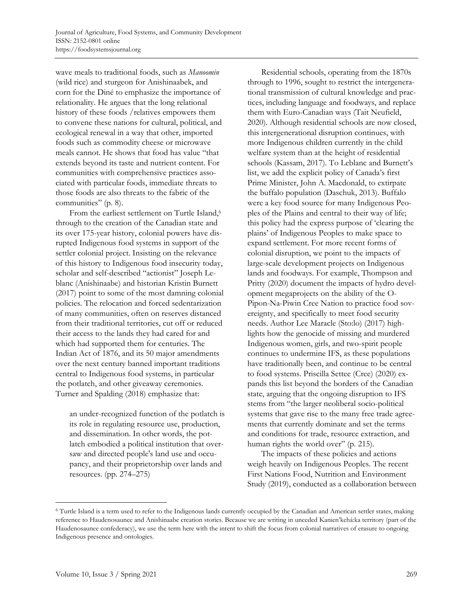wave meals to traditional foods, such as *Manoomin* (wild rice) and sturgeon for Anishinaabek, and corn for the Diné to emphasize the importance of relationality. He argues that the long relational history of these foods /relatives empowers them to convene these nations for cultural, political, and ecological renewal in a way that other, imported foods such as commodity cheese or microwave meals cannot. He shows that food has value "that extends beyond its taste and nutrient content. For communities with comprehensive practices associated with particular foods, immediate threats to those foods are also threats to the fabric of the communities" (p. 8).

From the earliest settlement on Turtle Island,<sup>6</sup> through to the creation of the Canadian state and its over 175-year history, colonial powers have disrupted Indigenous food systems in support of the settler colonial project. Insisting on the relevance of this history to Indigenous food insecurity today, scholar and self-described "actionist" Joseph Leblanc (Anishinaabe) and historian Kristin Burnett (2017) point to some of the most damning colonial policies. The relocation and forced sedentarization of many communities, often on reserves distanced from their traditional territories, cut off or reduced their access to the lands they had cared for and which had supported them for centuries. The Indian Act of 1876, and its 50 major amendments over the next century banned important traditions central to Indigenous food systems, in particular the potlatch, and other giveaway ceremonies. Turner and Spalding (2018) emphasize that:

an under-recognized function of the potlatch is its role in regulating resource use, production, and dissemination. In other words, the potlatch embodied a political institution that oversaw and directed people's land use and occupancy, and their proprietorship over lands and resources. (pp. 274–275)

 Residential schools, operating from the 1870s through to 1996, sought to restrict the intergenerational transmission of cultural knowledge and practices, including language and foodways, and replace them with Euro-Canadian ways (Tait Neufield, 2020). Although residential schools are now closed, this intergenerational disruption continues, with more Indigenous children currently in the child welfare system than at the height of residential schools (Kassam, 2017). To Leblanc and Burnett's list, we add the explicit policy of Canada's first Prime Minister, John A. Macdonald, to extirpate the buffalo population (Daschuk, 2013). Buffalo were a key food source for many Indigenous Peoples of the Plains and central to their way of life; this policy had the express purpose of 'clearing the plains' of Indigenous Peoples to make space to expand settlement. For more recent forms of colonial disruption, we point to the impacts of large-scale development projects on Indigenous lands and foodways. For example, Thompson and Pritty (2020) document the impacts of hydro development megaprojects on the ability of the O-Pipon-Na-Piwin Cree Nation to practice food sovereignty, and specifically to meet food security needs. Author Lee Maracle (Sto:lo) (2017) highlights how the genocide of missing and murdered Indigenous women, girls, and two-spirit people continues to undermine IFS, as these populations have traditionally been, and continue to be central to food systems. Priscilla Settee (Cree) (2020) expands this list beyond the borders of the Canadian state, arguing that the ongoing disruption to IFS stems from "the larger neoliberal socio-political systems that gave rise to the many free trade agreements that currently dominate and set the terms and conditions for trade, resource extraction, and human rights the world over" (p. 215).

 The impacts of these policies and actions weigh heavily on Indigenous Peoples. The recent First Nations Food, Nutrition and Environment Study (2019), conducted as a collaboration between

<sup>6</sup> Turtle Island is a term used to refer to the Indigenous lands currently occupied by the Canadian and American settler states, making reference to Haudenosaunee and Anishinaabe creation stories. Because we are writing in unceded Kanien'kehá:ka territory (part of the Haudenosaunee confederacy), we use the term here with the intent to shift the focus from colonial narratives of erasure to ongoing Indigenous presence and ontologies.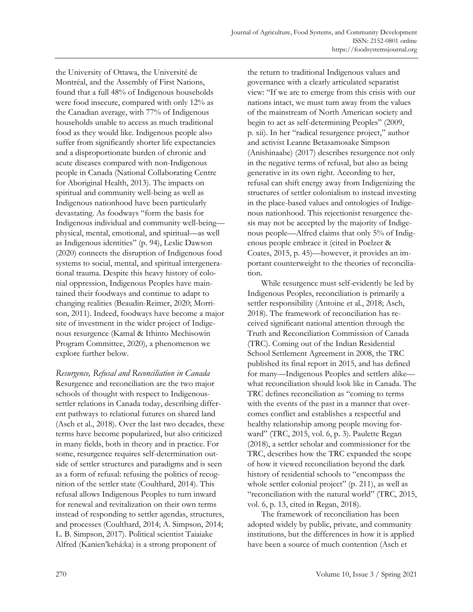the University of Ottawa, the Université de Montréal, and the Assembly of First Nations, found that a full 48% of Indigenous households were food insecure, compared with only 12% as the Canadian average, with 77% of Indigenous households unable to access as much traditional food as they would like. Indigenous people also suffer from significantly shorter life expectancies and a disproportionate burden of chronic and acute diseases compared with non-Indigenous people in Canada (National Collaborating Centre for Aboriginal Health, 2013). The impacts on spiritual and community well-being as well as Indigenous nationhood have been particularly devastating. As foodways "form the basis for Indigenous individual and community well-being physical, mental, emotional, and spiritual—as well as Indigenous identities" (p. 94), Leslie Dawson (2020) connects the disruption of Indigenous food systems to social, mental, and spiritual intergenerational trauma. Despite this heavy history of colonial oppression, Indigenous Peoples have maintained their foodways and continue to adapt to changing realities (Beaudin-Reimer, 2020; Morrison, 2011). Indeed, foodways have become a major site of investment in the wider project of Indigenous resurgence (Kamal & Ithinto Mechisowin Program Committee, 2020), a phenomenon we explore further below.

*Resurgence, Refusal and Reconciliation in Canada*  Resurgence and reconciliation are the two major schools of thought with respect to Indigenoussettler relations in Canada today, describing different pathways to relational futures on shared land (Asch et al., 2018). Over the last two decades, these terms have become popularized, but also criticized in many fields, both in theory and in practice. For some, resurgence requires self-determination outside of settler structures and paradigms and is seen as a form of refusal: refusing the politics of recognition of the settler state (Coulthard, 2014). This refusal allows Indigenous Peoples to turn inward for renewal and revitalization on their own terms instead of responding to settler agendas, structures, and processes (Coulthard, 2014; A. Simpson, 2014; L. B. Simpson, 2017). Political scientist Taiaiake Alfred (Kanien'kehá:ka) is a strong proponent of

the return to traditional Indigenous values and governance with a clearly articulated separatist view: "If we are to emerge from this crisis with our nations intact, we must turn away from the values of the mainstream of North American society and begin to act as self-determining Peoples" (2009, p. xii). In her "radical resurgence project," author and activist Leanne Betasamosake Simpson (Anishinaabe) (2017) describes resurgence not only in the negative terms of refusal, but also as being generative in its own right. According to her, refusal can shift energy away from Indigenizing the structures of settler colonialism to instead investing in the place-based values and ontologies of Indigenous nationhood. This rejectionist resurgence thesis may not be accepted by the majority of Indigenous people—Alfred claims that only 5% of Indigenous people embrace it (cited in Poelzer & Coates, 2015, p. 45)—however, it provides an important counterweight to the theories of reconciliation.

 While resurgence must self-evidently be led by Indigenous Peoples, reconciliation is primarily a settler responsibility (Antoine et al., 2018; Asch, 2018). The framework of reconciliation has received significant national attention through the Truth and Reconciliation Commission of Canada (TRC). Coming out of the Indian Residential School Settlement Agreement in 2008, the TRC published its final report in 2015, and has defined for many—Indigenous Peoples and settlers alike what reconciliation should look like in Canada. The TRC defines reconciliation as "coming to terms with the events of the past in a manner that overcomes conflict and establishes a respectful and healthy relationship among people moving forward" (TRC, 2015, vol. 6, p. 3). Paulette Regan (2018), a settler scholar and commissioner for the TRC, describes how the TRC expanded the scope of how it viewed reconciliation beyond the dark history of residential schools to "encompass the whole settler colonial project" (p. 211), as well as "reconciliation with the natural world" (TRC, 2015, vol. 6, p. 13, cited in Regan, 2018).

 The framework of reconciliation has been adopted widely by public, private, and community institutions, but the differences in how it is applied have been a source of much contention (Asch et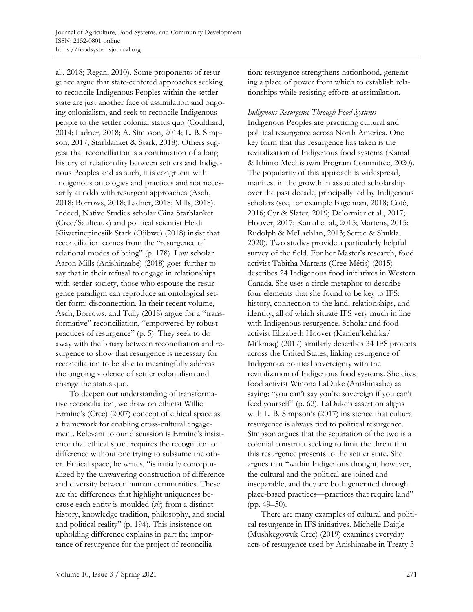al., 2018; Regan, 2010). Some proponents of resurgence argue that state-centered approaches seeking to reconcile Indigenous Peoples within the settler state are just another face of assimilation and ongoing colonialism, and seek to reconcile Indigenous people to the settler colonial status quo (Coulthard, 2014; Ladner, 2018; A. Simpson, 2014; L. B. Simpson, 2017; Starblanket & Stark, 2018). Others suggest that reconciliation is a continuation of a long history of relationality between settlers and Indigenous Peoples and as such, it is congruent with Indigenous ontologies and practices and not necessarily at odds with resurgent approaches (Asch, 2018; Borrows, 2018; Ladner, 2018; Mills, 2018). Indeed, Native Studies scholar Gina Starblanket (Cree/Saulteaux) and political scientist Heidi Kiiwetinepinesiik Stark (Ojibwe) (2018) insist that reconciliation comes from the "resurgence of relational modes of being" (p. 178). Law scholar Aaron Mills (Anishinaabe) (2018) goes further to say that in their refusal to engage in relationships with settler society, those who espouse the resurgence paradigm can reproduce an ontological settler form: disconnection. In their recent volume, Asch, Borrows, and Tully (2018) argue for a "transformative" reconciliation, "empowered by robust practices of resurgence" (p. 5). They seek to do away with the binary between reconciliation and resurgence to show that resurgence is necessary for reconciliation to be able to meaningfully address the ongoing violence of settler colonialism and change the status quo.

 To deepen our understanding of transformative reconciliation, we draw on ethicist Willie Ermine's (Cree) (2007) concept of ethical space as a framework for enabling cross-cultural engagement. Relevant to our discussion is Ermine's insistence that ethical space requires the recognition of difference without one trying to subsume the other. Ethical space, he writes, "is initially conceptualized by the unwavering construction of difference and diversity between human communities. These are the differences that highlight uniqueness because each entity is moulded (*sic*) from a distinct history, knowledge tradition, philosophy, and social and political reality" (p. 194). This insistence on upholding difference explains in part the importance of resurgence for the project of reconciliation: resurgence strengthens nationhood, generating a place of power from which to establish relationships while resisting efforts at assimilation.

*Indigenous Resurgence Through Food Systems* 

Indigenous Peoples are practicing cultural and political resurgence across North America. One key form that this resurgence has taken is the revitalization of Indigenous food systems (Kamal & Ithinto Mechisowin Program Committee, 2020). The popularity of this approach is widespread, manifest in the growth in associated scholarship over the past decade, principally led by Indigenous scholars (see, for example Bagelman, 2018; Coté, 2016; Cyr & Slater, 2019; Delormier et al., 2017; Hoover, 2017; Kamal et al., 2015; Martens, 2015; Rudolph & McLachlan, 2013; Settee & Shukla, 2020). Two studies provide a particularly helpful survey of the field. For her Master's research, food activist Tabitha Martens (Cree-Métis) (2015) describes 24 Indigenous food initiatives in Western Canada. She uses a circle metaphor to describe four elements that she found to be key to IFS: history, connection to the land, relationships, and identity, all of which situate IFS very much in line with Indigenous resurgence. Scholar and food activist Elizabeth Hoover (Kanien'kehá:ka/ Mi'kmaq) (2017) similarly describes 34 IFS projects across the United States, linking resurgence of Indigenous political sovereignty with the revitalization of Indigenous food systems. She cites food activist Winona LaDuke (Anishinaabe) as saying: "you can't say you're sovereign if you can't feed yourself" (p. 62). LaDuke's assertion aligns with L. B. Simpson's (2017) insistence that cultural resurgence is always tied to political resurgence. Simpson argues that the separation of the two is a colonial construct seeking to limit the threat that this resurgence presents to the settler state. She argues that "within Indigenous thought, however, the cultural and the political are joined and inseparable, and they are both generated through place-based practices—practices that require land" (pp. 49–50).

 There are many examples of cultural and political resurgence in IFS initiatives. Michelle Daigle (Mushkegowuk Cree) (2019) examines everyday acts of resurgence used by Anishinaabe in Treaty 3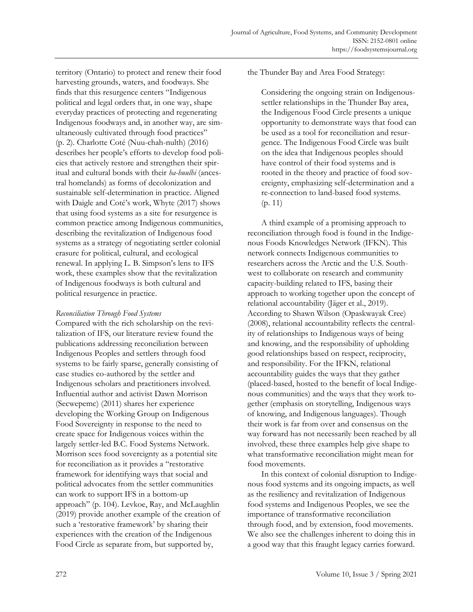territory (Ontario) to protect and renew their food harvesting grounds, waters, and foodways. She finds that this resurgence centers "Indigenous political and legal orders that, in one way, shape everyday practices of protecting and regenerating Indigenous foodways and, in another way, are simultaneously cultivated through food practices" (p. 2). Charlotte Coté (Nuu-chah-nulth) (2016) describes her people's efforts to develop food policies that actively restore and strengthen their spiritual and cultural bonds with their *ha-huulhi* (ancestral homelands) as forms of decolonization and sustainable self-determination in practice. Aligned with Daigle and Coté's work, Whyte (2017) shows that using food systems as a site for resurgence is common practice among Indigenous communities, describing the revitalization of Indigenous food systems as a strategy of negotiating settler colonial erasure for political, cultural, and ecological renewal. In applying L. B. Simpson's lens to IFS work, these examples show that the revitalization of Indigenous foodways is both cultural and political resurgence in practice.

## *Reconciliation Through Food Systems*

Compared with the rich scholarship on the revitalization of IFS, our literature review found the publications addressing reconciliation between Indigenous Peoples and settlers through food systems to be fairly sparse, generally consisting of case studies co-authored by the settler and Indigenous scholars and practitioners involved. Influential author and activist Dawn Morrison (Secwepemc) (2011) shares her experience developing the Working Group on Indigenous Food Sovereignty in response to the need to create space for Indigenous voices within the largely settler-led B.C. Food Systems Network. Morrison sees food sovereignty as a potential site for reconciliation as it provides a "restorative framework for identifying ways that social and political advocates from the settler communities can work to support IFS in a bottom-up approach" (p. 104). Levkoe, Ray, and McLaughlin (2019) provide another example of the creation of such a 'restorative framework' by sharing their experiences with the creation of the Indigenous Food Circle as separate from, but supported by,

the Thunder Bay and Area Food Strategy:

Considering the ongoing strain on Indigenoussettler relationships in the Thunder Bay area, the Indigenous Food Circle presents a unique opportunity to demonstrate ways that food can be used as a tool for reconciliation and resurgence. The Indigenous Food Circle was built on the idea that Indigenous peoples should have control of their food systems and is rooted in the theory and practice of food sovereignty, emphasizing self-determination and a re-connection to land-based food systems. (p. 11)

 A third example of a promising approach to reconciliation through food is found in the Indigenous Foods Knowledges Network (IFKN). This network connects Indigenous communities to researchers across the Arctic and the U.S. Southwest to collaborate on research and community capacity-building related to IFS, basing their approach to working together upon the concept of relational accountability (Jäger et al., 2019). According to Shawn Wilson (Opaskwayak Cree) (2008), relational accountability reflects the centrality of relationships to Indigenous ways of being and knowing, and the responsibility of upholding good relationships based on respect, reciprocity, and responsibility. For the IFKN, relational accountability guides the ways that they gather (placed-based, hosted to the benefit of local Indigenous communities) and the ways that they work together (emphasis on storytelling, Indigenous ways of knowing, and Indigenous languages). Though their work is far from over and consensus on the way forward has not necessarily been reached by all involved, these three examples help give shape to what transformative reconciliation might mean for food movements.

 In this context of colonial disruption to Indigenous food systems and its ongoing impacts, as well as the resiliency and revitalization of Indigenous food systems and Indigenous Peoples, we see the importance of transformative reconciliation through food, and by extension, food movements. We also see the challenges inherent to doing this in a good way that this fraught legacy carries forward.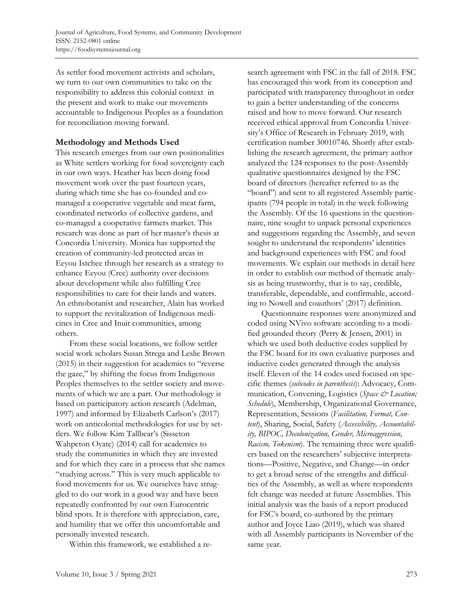As settler food movement activists and scholars, we turn to our own communities to take on the responsibility to address this colonial context in the present and work to make our movements accountable to Indigenous Peoples as a foundation for reconciliation moving forward.

# **Methodology and Methods Used**

This research emerges from our own positionalities as White settlers working for food sovereignty each in our own ways. Heather has been doing food movement work over the past fourteen years, during which time she has co-founded and comanaged a cooperative vegetable and meat farm, coordinated networks of collective gardens, and co-managed a cooperative farmers market. This research was done as part of her master's thesis at Concordia University. Monica has supported the creation of community-led protected areas in Eeyou Istchee through her research as a strategy to enhance Eeyou (Cree) authority over decisions about development while also fulfilling Cree responsibilities to care for their lands and waters. An ethnobotanist and researcher, Alain has worked to support the revitalization of Indigenous medicines in Cree and Inuit communities, among others.

 From these social locations, we follow settler social work scholars Susan Strega and Leslie Brown (2015) in their suggestion for academics to "reverse the gaze," by shifting the focus from Indigenous Peoples themselves to the settler society and movements of which we are a part. Our methodology is based on participatory action research (Adelman, 1997) and informed by Elizabeth Carlson's (2017) work on anticolonial methodologies for use by settlers. We follow Kim Tallbear's (Sisseton Wahpeton Oyate) (2014) call for academics to study the communities in which they are invested and for which they care in a process that she names "studying across." This is very much applicable to food movements for us. We ourselves have struggled to do our work in a good way and have been repeatedly confronted by our own Eurocentric blind spots. It is therefore with appreciation, care, and humility that we offer this uncomfortable and personally invested research.

Within this framework, we established a re-

search agreement with FSC in the fall of 2018. FSC has encouraged this work from its conception and participated with transparency throughout in order to gain a better understanding of the concerns raised and how to move forward. Our research received ethical approval from Concordia University's Office of Research in February 2019, with certification number 30010746. Shortly after establishing the research agreement, the primary author analyzed the 124 responses to the post-Assembly qualitative questionnaires designed by the FSC board of directors (hereafter referred to as the "board") and sent to all registered Assembly participants (794 people in total) in the week following the Assembly. Of the 16 questions in the questionnaire, nine sought to unpack personal experiences and suggestions regarding the Assembly, and seven sought to understand the respondents' identities and background experiences with FSC and food movements. We explain our methods in detail here in order to establish our method of thematic analysis as being trustworthy, that is to say, credible, transferable, dependable, and confirmable, according to Nowell and coauthors' (2017) definition.

 Questionnaire responses were anonymized and coded using NVivo software according to a modified grounded theory (Perry & Jensen, 2001) in which we used both deductive codes supplied by the FSC board for its own evaluative purposes and inductive codes generated through the analysis itself. Eleven of the 14 codes used focused on specific themes (*subcodes in parenthesis*): Advocacy, Communication, Convening, Logistics (*Space & Location; Schedule*), Membership, Organizational Governance, Representation, Sessions (*Facilitation, Format, Content*), Sharing, Social, Safety (*Accessibility, Accountability, BIPOC, Decolonization, Gender, Microaggression, Racism, Tokenism*). The remaining three were qualifiers based on the researchers' subjective interpretations—Positive, Negative, and Change—in order to get a broad sense of the strengths and difficulties of the Assembly, as well as where respondents felt change was needed at future Assemblies. This initial analysis was the basis of a report produced for FSC's board, co-authored by the primary author and Joyce Liao (2019), which was shared with all Assembly participants in November of the same year.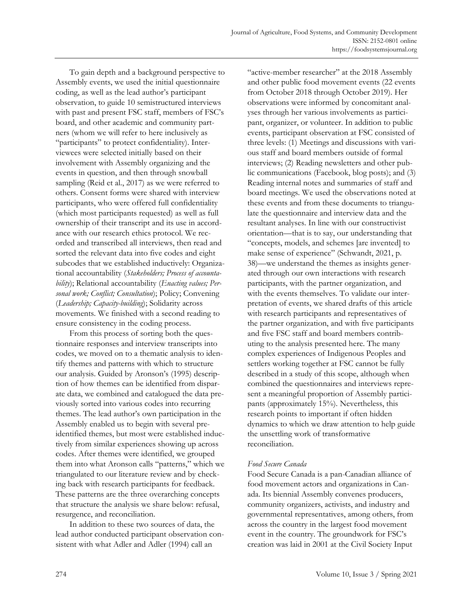To gain depth and a background perspective to Assembly events, we used the initial questionnaire coding, as well as the lead author's participant observation, to guide 10 semistructured interviews with past and present FSC staff, members of FSC's board, and other academic and community partners (whom we will refer to here inclusively as "participants" to protect confidentiality). Interviewees were selected initially based on their involvement with Assembly organizing and the events in question, and then through snowball sampling (Reid et al., 2017) as we were referred to others. Consent forms were shared with interview participants, who were offered full confidentiality (which most participants requested) as well as full ownership of their transcript and its use in accordance with our research ethics protocol. We recorded and transcribed all interviews, then read and sorted the relevant data into five codes and eight subcodes that we established inductively: Organizational accountability (*Stakeholders; Process of accountability*); Relational accountability (*Enacting values; Personal work; Conflict; Consultation*); Policy; Convening (*Leadership; Capacity-building*); Solidarity across movements. We finished with a second reading to ensure consistency in the coding process.

 From this process of sorting both the questionnaire responses and interview transcripts into codes, we moved on to a thematic analysis to identify themes and patterns with which to structure our analysis. Guided by Aronson's (1995) description of how themes can be identified from disparate data, we combined and catalogued the data previously sorted into various codes into recurring themes. The lead author's own participation in the Assembly enabled us to begin with several preidentified themes, but most were established inductively from similar experiences showing up across codes. After themes were identified, we grouped them into what Aronson calls "patterns," which we triangulated to our literature review and by checking back with research participants for feedback. These patterns are the three overarching concepts that structure the analysis we share below: refusal, resurgence, and reconciliation.

 In addition to these two sources of data, the lead author conducted participant observation consistent with what Adler and Adler (1994) call an

"active-member researcher" at the 2018 Assembly and other public food movement events (22 events from October 2018 through October 2019). Her observations were informed by concomitant analyses through her various involvements as participant, organizer, or volunteer. In addition to public events, participant observation at FSC consisted of three levels: (1) Meetings and discussions with various staff and board members outside of formal interviews; (2) Reading newsletters and other public communications (Facebook, blog posts); and (3) Reading internal notes and summaries of staff and board meetings. We used the observations noted at these events and from these documents to triangulate the questionnaire and interview data and the resultant analyses. In line with our constructivist orientation—that is to say, our understanding that "concepts, models, and schemes [are invented] to make sense of experience" (Schwandt, 2021, p. 38)—we understand the themes as insights generated through our own interactions with research participants, with the partner organization, and with the events themselves. To validate our interpretation of events, we shared drafts of this article with research participants and representatives of the partner organization, and with five participants and five FSC staff and board members contributing to the analysis presented here. The many complex experiences of Indigenous Peoples and settlers working together at FSC cannot be fully described in a study of this scope, although when combined the questionnaires and interviews represent a meaningful proportion of Assembly participants (approximately 15%). Nevertheless, this research points to important if often hidden dynamics to which we draw attention to help guide the unsettling work of transformative reconciliation.

## *Food Secure Canada*

Food Secure Canada is a pan-Canadian alliance of food movement actors and organizations in Canada. Its biennial Assembly convenes producers, community organizers, activists, and industry and governmental representatives, among others, from across the country in the largest food movement event in the country. The groundwork for FSC's creation was laid in 2001 at the Civil Society Input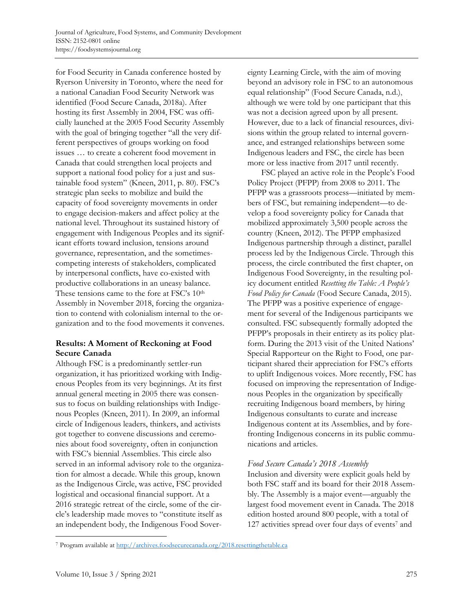for Food Security in Canada conference hosted by Ryerson University in Toronto, where the need for a national Canadian Food Security Network was identified (Food Secure Canada, 2018a). After hosting its first Assembly in 2004, FSC was officially launched at the 2005 Food Security Assembly with the goal of bringing together "all the very different perspectives of groups working on food issues … to create a coherent food movement in Canada that could strengthen local projects and support a national food policy for a just and sustainable food system" (Kneen, 2011, p. 80). FSC's strategic plan seeks to mobilize and build the capacity of food sovereignty movements in order to engage decision-makers and affect policy at the national level. Throughout its sustained history of engagement with Indigenous Peoples and its significant efforts toward inclusion, tensions around governance, representation, and the sometimescompeting interests of stakeholders, complicated by interpersonal conflicts, have co-existed with productive collaborations in an uneasy balance. These tensions came to the fore at FSC's 10<sup>th</sup> Assembly in November 2018, forcing the organization to contend with colonialism internal to the organization and to the food movements it convenes.

# **Results: A Moment of Reckoning at Food Secure Canada**

Although FSC is a predominantly settler-run organization, it has prioritized working with Indigenous Peoples from its very beginnings. At its first annual general meeting in 2005 there was consensus to focus on building relationships with Indigenous Peoples (Kneen, 2011). In 2009, an informal circle of Indigenous leaders, thinkers, and activists got together to convene discussions and ceremonies about food sovereignty, often in conjunction with FSC's biennial Assemblies. This circle also served in an informal advisory role to the organization for almost a decade. While this group, known as the Indigenous Circle, was active, FSC provided logistical and occasional financial support. At a 2016 strategic retreat of the circle, some of the circle's leadership made moves to "constitute itself as an independent body, the Indigenous Food Sovereignty Learning Circle, with the aim of moving beyond an advisory role in FSC to an autonomous equal relationship" (Food Secure Canada, n.d.), although we were told by one participant that this was not a decision agreed upon by all present. However, due to a lack of financial resources, divisions within the group related to internal governance, and estranged relationships between some Indigenous leaders and FSC, the circle has been more or less inactive from 2017 until recently.

 FSC played an active role in the People's Food Policy Project (PFPP) from 2008 to 2011. The PFPP was a grassroots process—initiated by members of FSC, but remaining independent—to develop a food sovereignty policy for Canada that mobilized approximately 3,500 people across the country (Kneen, 2012). The PFPP emphasized Indigenous partnership through a distinct, parallel process led by the Indigenous Circle. Through this process, the circle contributed the first chapter, on Indigenous Food Sovereignty, in the resulting policy document entitled *Resetting the Table: A People's Food Policy for Canada* (Food Secure Canada, 2015). The PFPP was a positive experience of engagement for several of the Indigenous participants we consulted. FSC subsequently formally adopted the PFPP's proposals in their entirety as its policy platform. During the 2013 visit of the United Nations' Special Rapporteur on the Right to Food, one participant shared their appreciation for FSC's efforts to uplift Indigenous voices. More recently, FSC has focused on improving the representation of Indigenous Peoples in the organization by specifically recruiting Indigenous board members, by hiring Indigenous consultants to curate and increase Indigenous content at its Assemblies, and by forefronting Indigenous concerns in its public communications and articles.

# *Food Secure Canada's 2018 Assembly*

Inclusion and diversity were explicit goals held by both FSC staff and its board for their 2018 Assembly. The Assembly is a major event—arguably the largest food movement event in Canada. The 2018 edition hosted around 800 people, with a total of 127 activities spread over four days of events<sup>7</sup> and

<sup>7</sup> Program available at http://archives.foodsecurecanada.org/2018.resettingthetable.ca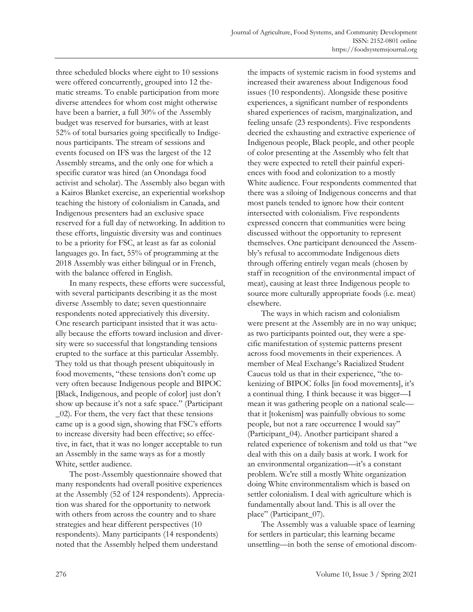three scheduled blocks where eight to 10 sessions were offered concurrently, grouped into 12 thematic streams. To enable participation from more diverse attendees for whom cost might otherwise have been a barrier, a full 30% of the Assembly budget was reserved for bursaries, with at least 52% of total bursaries going specifically to Indigenous participants. The stream of sessions and events focused on IFS was the largest of the 12 Assembly streams, and the only one for which a specific curator was hired (an Onondaga food activist and scholar). The Assembly also began with a Kairos Blanket exercise, an experiential workshop teaching the history of colonialism in Canada, and Indigenous presenters had an exclusive space reserved for a full day of networking. In addition to these efforts, linguistic diversity was and continues to be a priority for FSC, at least as far as colonial languages go. In fact, 55% of programming at the 2018 Assembly was either bilingual or in French, with the balance offered in English.

 In many respects, these efforts were successful, with several participants describing it as the most diverse Assembly to date; seven questionnaire respondents noted appreciatively this diversity. One research participant insisted that it was actually because the efforts toward inclusion and diversity were so successful that longstanding tensions erupted to the surface at this particular Assembly. They told us that though present ubiquitously in food movements, "these tensions don't come up very often because Indigenous people and BIPOC [Black, Indigenous, and people of color] just don't show up because it's not a safe space." (Participant \_02). For them, the very fact that these tensions came up is a good sign, showing that FSC's efforts to increase diversity had been effective; so effective, in fact, that it was no longer acceptable to run an Assembly in the same ways as for a mostly White, settler audience.

 The post-Assembly questionnaire showed that many respondents had overall positive experiences at the Assembly (52 of 124 respondents). Appreciation was shared for the opportunity to network with others from across the country and to share strategies and hear different perspectives (10 respondents). Many participants (14 respondents) noted that the Assembly helped them understand

the impacts of systemic racism in food systems and increased their awareness about Indigenous food issues (10 respondents). Alongside these positive experiences, a significant number of respondents shared experiences of racism, marginalization, and feeling unsafe (23 respondents). Five respondents decried the exhausting and extractive experience of Indigenous people, Black people, and other people of color presenting at the Assembly who felt that they were expected to retell their painful experiences with food and colonization to a mostly White audience. Four respondents commented that there was a siloing of Indigenous concerns and that most panels tended to ignore how their content intersected with colonialism. Five respondents expressed concern that communities were being discussed without the opportunity to represent themselves. One participant denounced the Assembly's refusal to accommodate Indigenous diets through offering entirely vegan meals (chosen by staff in recognition of the environmental impact of meat), causing at least three Indigenous people to source more culturally appropriate foods (i.e. meat) elsewhere.

 The ways in which racism and colonialism were present at the Assembly are in no way unique; as two participants pointed out, they were a specific manifestation of systemic patterns present across food movements in their experiences. A member of Meal Exchange's Racialized Student Caucus told us that in their experience, "the tokenizing of BIPOC folks [in food movements], it's a continual thing. I think because it was bigger—I mean it was gathering people on a national scale that it [tokenism] was painfully obvious to some people, but not a rare occurrence I would say" (Participant\_04). Another participant shared a related experience of tokenism and told us that "we deal with this on a daily basis at work. I work for an environmental organization—it's a constant problem. We're still a mostly White organization doing White environmentalism which is based on settler colonialism. I deal with agriculture which is fundamentally about land. This is all over the place" (Participant\_07).

 The Assembly was a valuable space of learning for settlers in particular; this learning became unsettling—in both the sense of emotional discom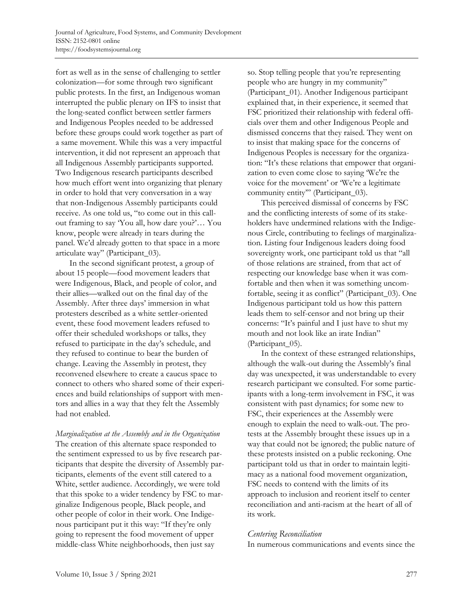fort as well as in the sense of challenging to settler colonization—for some through two significant public protests. In the first, an Indigenous woman interrupted the public plenary on IFS to insist that the long-seated conflict between settler farmers and Indigenous Peoples needed to be addressed before these groups could work together as part of a same movement. While this was a very impactful intervention, it did not represent an approach that all Indigenous Assembly participants supported. Two Indigenous research participants described how much effort went into organizing that plenary in order to hold that very conversation in a way that non-Indigenous Assembly participants could receive. As one told us, "to come out in this callout framing to say 'You all, how dare you?'… You know, people were already in tears during the panel. We'd already gotten to that space in a more articulate way" (Participant\_03).

 In the second significant protest, a group of about 15 people—food movement leaders that were Indigenous, Black, and people of color, and their allies—walked out on the final day of the Assembly. After three days' immersion in what protesters described as a white settler-oriented event, these food movement leaders refused to offer their scheduled workshops or talks, they refused to participate in the day's schedule, and they refused to continue to bear the burden of change. Leaving the Assembly in protest, they reconvened elsewhere to create a caucus space to connect to others who shared some of their experiences and build relationships of support with mentors and allies in a way that they felt the Assembly had not enabled.

*Marginalization at the Assembly and in the Organization*  The creation of this alternate space responded to the sentiment expressed to us by five research participants that despite the diversity of Assembly participants, elements of the event still catered to a White, settler audience. Accordingly, we were told that this spoke to a wider tendency by FSC to marginalize Indigenous people, Black people, and other people of color in their work. One Indigenous participant put it this way: "If they're only going to represent the food movement of upper middle-class White neighborhoods, then just say

so. Stop telling people that you're representing people who are hungry in my community" (Participant\_01). Another Indigenous participant explained that, in their experience, it seemed that FSC prioritized their relationship with federal officials over them and other Indigenous People and dismissed concerns that they raised. They went on to insist that making space for the concerns of Indigenous Peoples is necessary for the organization: "It's these relations that empower that organization to even come close to saying 'We're the voice for the movement' or 'We're a legitimate community entity"" (Participant\_03).

 This perceived dismissal of concerns by FSC and the conflicting interests of some of its stakeholders have undermined relations with the Indigenous Circle, contributing to feelings of marginalization. Listing four Indigenous leaders doing food sovereignty work, one participant told us that "all of those relations are strained, from that act of respecting our knowledge base when it was comfortable and then when it was something uncomfortable, seeing it as conflict" (Participant\_03). One Indigenous participant told us how this pattern leads them to self-censor and not bring up their concerns: "It's painful and I just have to shut my mouth and not look like an irate Indian" (Participant\_05).

 In the context of these estranged relationships, although the walk-out during the Assembly's final day was unexpected, it was understandable to every research participant we consulted. For some participants with a long-term involvement in FSC, it was consistent with past dynamics; for some new to FSC, their experiences at the Assembly were enough to explain the need to walk-out. The protests at the Assembly brought these issues up in a way that could not be ignored; the public nature of these protests insisted on a public reckoning. One participant told us that in order to maintain legitimacy as a national food movement organization, FSC needs to contend with the limits of its approach to inclusion and reorient itself to center reconciliation and anti-racism at the heart of all of its work.

## *Centering Reconciliation*

In numerous communications and events since the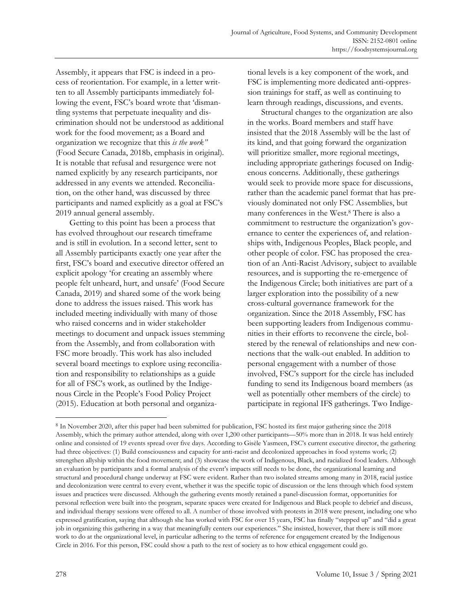Assembly, it appears that FSC is indeed in a process of reorientation. For example, in a letter written to all Assembly participants immediately following the event, FSC's board wrote that 'dismantling systems that perpetuate inequality and discrimination should not be understood as additional work for the food movement; as a Board and organization we recognize that this *is the work"*  (Food Secure Canada, 2018b, emphasis in original)*.*  It is notable that refusal and resurgence were not named explicitly by any research participants, nor addressed in any events we attended. Reconciliation, on the other hand, was discussed by three participants and named explicitly as a goal at FSC's 2019 annual general assembly.

 Getting to this point has been a process that has evolved throughout our research timeframe and is still in evolution. In a second letter, sent to all Assembly participants exactly one year after the first, FSC's board and executive director offered an explicit apology 'for creating an assembly where people felt unheard, hurt, and unsafe' (Food Secure Canada, 2019) and shared some of the work being done to address the issues raised. This work has included meeting individually with many of those who raised concerns and in wider stakeholder meetings to document and unpack issues stemming from the Assembly, and from collaboration with FSC more broadly. This work has also included several board meetings to explore using reconciliation and responsibility to relationships as a guide for all of FSC's work, as outlined by the Indigenous Circle in the People's Food Policy Project (2015). Education at both personal and organizational levels is a key component of the work, and FSC is implementing more dedicated anti-oppression trainings for staff, as well as continuing to learn through readings, discussions, and events.

 Structural changes to the organization are also in the works. Board members and staff have insisted that the 2018 Assembly will be the last of its kind, and that going forward the organization will prioritize smaller, more regional meetings, including appropriate gatherings focused on Indigenous concerns. Additionally, these gatherings would seek to provide more space for discussions, rather than the academic panel format that has previously dominated not only FSC Assemblies, but many conferences in the West.8 There is also a commitment to restructure the organization's governance to center the experiences of, and relationships with, Indigenous Peoples, Black people, and other people of color. FSC has proposed the creation of an Anti-Racist Advisory, subject to available resources, and is supporting the re-emergence of the Indigenous Circle; both initiatives are part of a larger exploration into the possibility of a new cross-cultural governance framework for the organization. Since the 2018 Assembly, FSC has been supporting leaders from Indigenous communities in their efforts to reconvene the circle, bolstered by the renewal of relationships and new connections that the walk-out enabled. In addition to personal engagement with a number of those involved, FSC's support for the circle has included funding to send its Indigenous board members (as well as potentially other members of the circle) to participate in regional IFS gatherings. Two Indige-

<sup>8</sup> In November 2020, after this paper had been submitted for publication, FSC hosted its first major gathering since the 2018 Assembly, which the primary author attended, along with over 1,200 other participants—50% more than in 2018. It was held entirely online and consisted of 19 events spread over five days. According to Gisèle Yasmeen, FSC's current executive director, the gathering had three objectives: (1) Build consciousness and capacity for anti-racist and decolonized approaches in food systems work; (2) strengthen allyship within the food movement; and (3) showcase the work of Indigenous, Black, and racialized food leaders. Although an evaluation by participants and a formal analysis of the event's impacts still needs to be done, the organizational learning and structural and procedural change underway at FSC were evident. Rather than two isolated streams among many in 2018, racial justice and decolonization were central to every event, whether it was the specific topic of discussion or the lens through which food system issues and practices were discussed. Although the gathering events mostly retained a panel-discussion format, opportunities for personal reflection were built into the program, separate spaces were created for Indigenous and Black people to debrief and discuss, and individual therapy sessions were offered to all. A number of those involved with protests in 2018 were present, including one who expressed gratification, saying that although she has worked with FSC for over 15 years, FSC has finally "stepped up" and "did a great job in organizing this gathering in a way that meaningfully centers our experiences." She insisted, however, that there is still more work to do at the organizational level, in particular adhering to the terms of reference for engagement created by the Indigenous Circle in 2016. For this person, FSC could show a path to the rest of society as to how ethical engagement could go.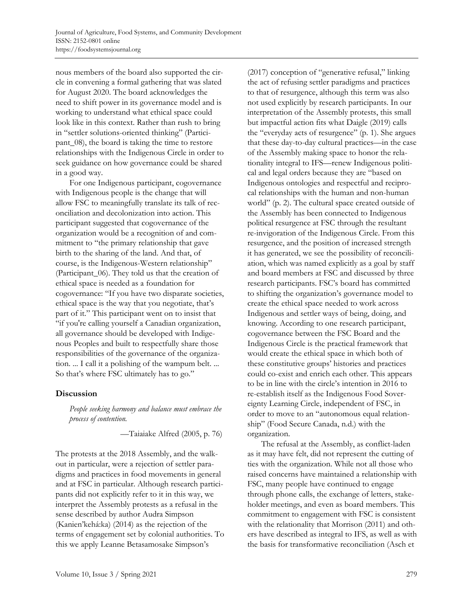nous members of the board also supported the circle in convening a formal gathering that was slated for August 2020. The board acknowledges the need to shift power in its governance model and is working to understand what ethical space could look like in this context. Rather than rush to bring in "settler solutions-oriented thinking" (Participant\_08), the board is taking the time to restore relationships with the Indigenous Circle in order to seek guidance on how governance could be shared in a good way.

 For one Indigenous participant, cogovernance with Indigenous people is the change that will allow FSC to meaningfully translate its talk of reconciliation and decolonization into action. This participant suggested that cogovernance of the organization would be a recognition of and commitment to "the primary relationship that gave birth to the sharing of the land. And that, of course, is the Indigenous-Western relationship" (Participant\_06). They told us that the creation of ethical space is needed as a foundation for cogovernance: "If you have two disparate societies, ethical space is the way that you negotiate, that's part of it." This participant went on to insist that "if you're calling yourself a Canadian organization, all governance should be developed with Indigenous Peoples and built to respectfully share those responsibilities of the governance of the organization. ... I call it a polishing of the wampum belt. ... So that's where FSC ultimately has to go."

## **Discussion**

*People seeking harmony and balance must embrace the process of contention.* 

—Taiaiake Alfred (2005, p. 76)

The protests at the 2018 Assembly, and the walkout in particular, were a rejection of settler paradigms and practices in food movements in general and at FSC in particular. Although research participants did not explicitly refer to it in this way, we interpret the Assembly protests as a refusal in the sense described by author Audra Simpson (Kanien'kehá:ka) (2014) as the rejection of the terms of engagement set by colonial authorities. To this we apply Leanne Betasamosake Simpson's

(2017) conception of "generative refusal," linking the act of refusing settler paradigms and practices to that of resurgence, although this term was also not used explicitly by research participants. In our interpretation of the Assembly protests, this small but impactful action fits what Daigle (2019) calls the "everyday acts of resurgence" (p. 1). She argues that these day-to-day cultural practices—in the case of the Assembly making space to honor the relationality integral to IFS—renew Indigenous political and legal orders because they are "based on Indigenous ontologies and respectful and reciprocal relationships with the human and non-human world" (p. 2). The cultural space created outside of the Assembly has been connected to Indigenous political resurgence at FSC through the resultant re-invigoration of the Indigenous Circle. From this resurgence, and the position of increased strength it has generated, we see the possibility of reconciliation, which was named explicitly as a goal by staff and board members at FSC and discussed by three research participants. FSC's board has committed to shifting the organization's governance model to create the ethical space needed to work across Indigenous and settler ways of being, doing, and knowing. According to one research participant, cogovernance between the FSC Board and the Indigenous Circle is the practical framework that would create the ethical space in which both of these constitutive groups' histories and practices could co-exist and enrich each other. This appears to be in line with the circle's intention in 2016 to re-establish itself as the Indigenous Food Sovereignty Learning Circle, independent of FSC, in order to move to an "autonomous equal relationship" (Food Secure Canada, n.d.) with the organization.

 The refusal at the Assembly, as conflict-laden as it may have felt, did not represent the cutting of ties with the organization. While not all those who raised concerns have maintained a relationship with FSC, many people have continued to engage through phone calls, the exchange of letters, stakeholder meetings, and even as board members. This commitment to engagement with FSC is consistent with the relationality that Morrison (2011) and others have described as integral to IFS, as well as with the basis for transformative reconciliation (Asch et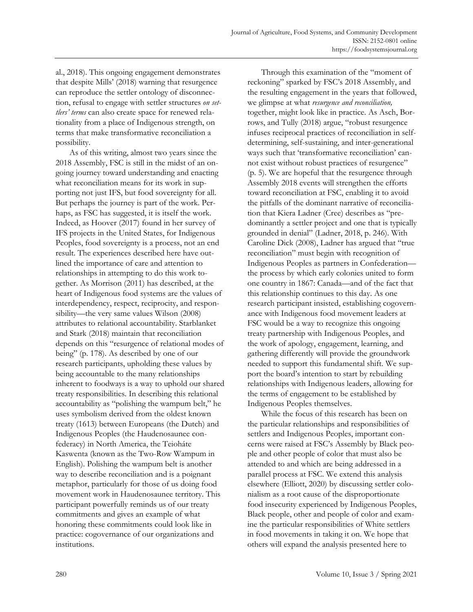al., 2018). This ongoing engagement demonstrates that despite Mills' (2018) warning that resurgence can reproduce the settler ontology of disconnection, refusal to engage with settler structures *on settlers' terms* can also create space for renewed relationality from a place of Indigenous strength, on terms that make transformative reconciliation a possibility.

 As of this writing, almost two years since the 2018 Assembly, FSC is still in the midst of an ongoing journey toward understanding and enacting what reconciliation means for its work in supporting not just IFS, but food sovereignty for all. But perhaps the journey is part of the work. Perhaps, as FSC has suggested, it is itself the work. Indeed, as Hoover (2017) found in her survey of IFS projects in the United States, for Indigenous Peoples, food sovereignty is a process, not an end result. The experiences described here have outlined the importance of care and attention to relationships in attempting to do this work together. As Morrison (2011) has described, at the heart of Indigenous food systems are the values of interdependency, respect, reciprocity, and responsibility—the very same values Wilson (2008) attributes to relational accountability. Starblanket and Stark (2018) maintain that reconciliation depends on this "resurgence of relational modes of being" (p. 178). As described by one of our research participants, upholding these values by being accountable to the many relationships inherent to foodways is a way to uphold our shared treaty responsibilities. In describing this relational accountability as "polishing the wampum belt," he uses symbolism derived from the oldest known treaty (1613) between Europeans (the Dutch) and Indigenous Peoples (the Haudenosaunee confederacy) in North America, the Teioháte Kaswenta (known as the Two-Row Wampum in English). Polishing the wampum belt is another way to describe reconciliation and is a poignant metaphor, particularly for those of us doing food movement work in Haudenosaunee territory. This participant powerfully reminds us of our treaty commitments and gives an example of what honoring these commitments could look like in practice: cogovernance of our organizations and institutions.

 Through this examination of the "moment of reckoning" sparked by FSC's 2018 Assembly, and the resulting engagement in the years that followed, we glimpse at what *resurgence and reconciliation,*  together, might look like in practice. As Asch, Borrows, and Tully (2018) argue, "robust resurgence infuses reciprocal practices of reconciliation in selfdetermining, self-sustaining, and inter-generational ways such that 'transformative reconciliation' cannot exist without robust practices of resurgence" (p. 5). We are hopeful that the resurgence through Assembly 2018 events will strengthen the efforts toward reconciliation at FSC, enabling it to avoid the pitfalls of the dominant narrative of reconciliation that Kiera Ladner (Cree) describes as "predominantly a settler project and one that is typically grounded in denial" (Ladner, 2018, p. 246). With Caroline Dick (2008), Ladner has argued that "true reconciliation" must begin with recognition of Indigenous Peoples as partners in Confederation the process by which early colonies united to form one country in 1867: Canada—and of the fact that this relationship continues to this day. As one research participant insisted, establishing cogovernance with Indigenous food movement leaders at FSC would be a way to recognize this ongoing treaty partnership with Indigenous Peoples, and the work of apology, engagement, learning, and gathering differently will provide the groundwork needed to support this fundamental shift. We support the board's intention to start by rebuilding relationships with Indigenous leaders, allowing for the terms of engagement to be established by Indigenous Peoples themselves.

 While the focus of this research has been on the particular relationships and responsibilities of settlers and Indigenous Peoples, important concerns were raised at FSC's Assembly by Black people and other people of color that must also be attended to and which are being addressed in a parallel process at FSC. We extend this analysis elsewhere (Elliott, 2020) by discussing settler colonialism as a root cause of the disproportionate food insecurity experienced by Indigenous Peoples, Black people, other and people of color and examine the particular responsibilities of White settlers in food movements in taking it on. We hope that others will expand the analysis presented here to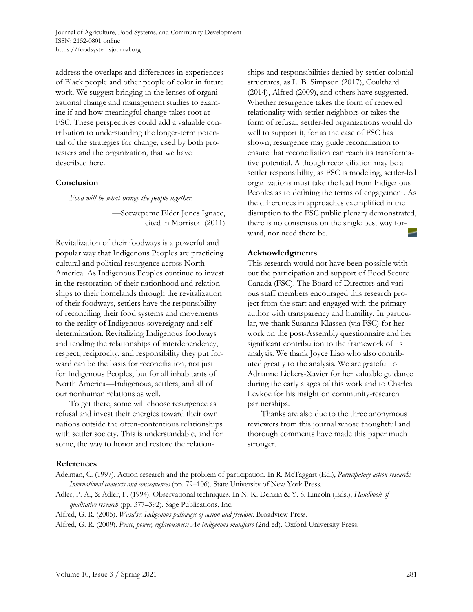address the overlaps and differences in experiences of Black people and other people of color in future work. We suggest bringing in the lenses of organizational change and management studies to examine if and how meaningful change takes root at FSC. These perspectives could add a valuable contribution to understanding the longer-term potential of the strategies for change, used by both protesters and the organization, that we have described here.

## **Conclusion**

*Food will be what brings the people together.* 

—Secwepemc Elder Jones Ignace, cited in Morrison (2011)

Revitalization of their foodways is a powerful and popular way that Indigenous Peoples are practicing cultural and political resurgence across North America. As Indigenous Peoples continue to invest in the restoration of their nationhood and relationships to their homelands through the revitalization of their foodways, settlers have the responsibility of reconciling their food systems and movements to the reality of Indigenous sovereignty and selfdetermination. Revitalizing Indigenous foodways and tending the relationships of interdependency, respect, reciprocity, and responsibility they put forward can be the basis for reconciliation, not just for Indigenous Peoples, but for all inhabitants of North America—Indigenous, settlers, and all of our nonhuman relations as well.

 To get there, some will choose resurgence as refusal and invest their energies toward their own nations outside the often-contentious relationships with settler society. This is understandable, and for some, the way to honor and restore the relationships and responsibilities denied by settler colonial structures, as L. B. Simpson (2017), Coulthard (2014), Alfred (2009), and others have suggested. Whether resurgence takes the form of renewed relationality with settler neighbors or takes the form of refusal, settler-led organizations would do well to support it, for as the case of FSC has shown, resurgence may guide reconciliation to ensure that reconciliation can reach its transformative potential. Although reconciliation may be a settler responsibility, as FSC is modeling, settler-led organizations must take the lead from Indigenous Peoples as to defining the terms of engagement. As the differences in approaches exemplified in the disruption to the FSC public plenary demonstrated, there is no consensus on the single best way forward, nor need there be.

# **Acknowledgments**

This research would not have been possible without the participation and support of Food Secure Canada (FSC). The Board of Directors and various staff members encouraged this research project from the start and engaged with the primary author with transparency and humility. In particular, we thank Susanna Klassen (via FSC) for her work on the post-Assembly questionnaire and her significant contribution to the framework of its analysis. We thank Joyce Liao who also contributed greatly to the analysis. We are grateful to Adrianne Lickers-Xavier for her valuable guidance during the early stages of this work and to Charles Levkoe for his insight on community-research partnerships.

 Thanks are also due to the three anonymous reviewers from this journal whose thoughtful and thorough comments have made this paper much stronger.

## **References**

Adelman, C. (1997). Action research and the problem of participation. In R. McTaggart (Ed.), *Participatory action research: International contexts and consequences* (pp. 79–106). State University of New York Press.

Adler, P. A., & Adler, P. (1994). Observational techniques. In N. K. Denzin & Y. S. Lincoln (Eds.), *Handbook of qualitative research* (pp. 377–392). Sage Publications, Inc.

Alfred, G. R. (2005). *Wasaʹse: Indigenous pathways of action and freedom*. Broadview Press.

Alfred, G. R. (2009). *Peace, power, righteousness: An indigenous manifesto* (2nd ed). Oxford University Press.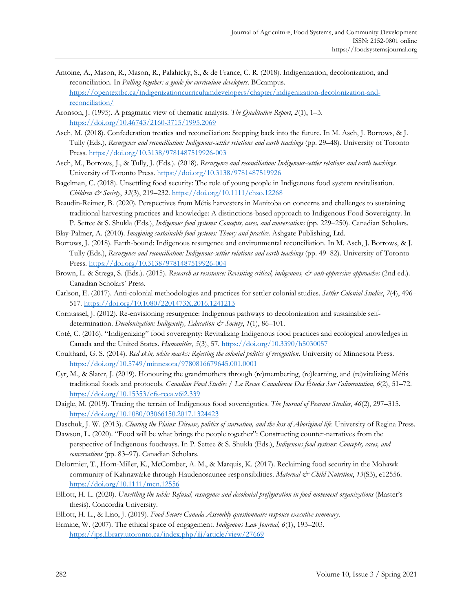- Antoine, A., Mason, R., Mason, R., Palahicky, S., & de France, C. R. (2018). Indigenization, decolonization, and reconciliation. In *Pulling together: a guide for curriculum developers*. BCcampus. [https://opentextbc.ca/indigenizationcurriculumdevelopers/chapter/indigenization-decolonization-and](https://opentextbc.ca/indigenizationcurriculumdevelopers/chapter/indigenization-decolonization-and-reconciliation/)[reconciliation/](https://opentextbc.ca/indigenizationcurriculumdevelopers/chapter/indigenization-decolonization-and-reconciliation/)
- Aronson, J. (1995). A pragmatic view of thematic analysis. *The Qualitative Report*, *2*(1), 1–3. <https://doi.org/10.46743/2160-3715/1995.2069>
- Asch, M. (2018). Confederation treaties and reconciliation: Stepping back into the future. In M. Asch, J. Borrows, & J. Tully (Eds.), *Resurgence and reconciliation: Indigenous-settler relations and earth teachings* (pp. 29–48). University of Toronto Press.<https://doi.org/10.3138/9781487519926-003>
- Asch, M., Borrows, J., & Tully, J. (Eds.). (2018). *Resurgence and reconciliation: Indigenous-settler relations and earth teachings*. University of Toronto Press.<https://doi.org/10.3138/9781487519926>
- Bagelman, C. (2018). Unsettling food security: The role of young people in Indigenous food system revitalisation. *Children & Society*, *32*(3), 219–232[. https://doi.org/10.1111/chso.12268](https://doi.org/10.1111/chso.12268)
- Beaudin-Reimer, B. (2020). Perspectives from Métis harvesters in Manitoba on concerns and challenges to sustaining traditional harvesting practices and knowledge: A distinctions-based approach to Indigenous Food Sovereignty. In P. Settee & S. Shukla (Eds.), *Indigenous food systems: Concepts, cases, and conversations* (pp. 229–250). Canadian Scholars.
- Blay-Palmer, A. (2010). *Imagining sustainable food systems: Theory and practice*. Ashgate Publishing, Ltd.
- Borrows, J. (2018). Earth-bound: Indigenous resurgence and environmental reconciliation. In M. Asch, J. Borrows, & J. Tully (Eds.), *Resurgence and reconciliation: Indigenous-settler relations and earth teachings* (pp. 49–82). University of Toronto Press.<https://doi.org/10.3138/9781487519926-004>
- Brown, L. & Strega, S. (Eds.). (2015). *Research as resistance: Revisiting critical, indigenous, & anti-oppressive approaches* (2nd ed.). Canadian Scholars' Press.
- Carlson, E. (2017). Anti-colonial methodologies and practices for settler colonial studies. *Settler Colonial Studies*, *7*(4), 496– 517[. https://doi.org/10.1080/2201473X.2016.1241213](https://doi.org/10.1080/2201473X.2016.1241213)
- Corntassel, J. (2012). Re-envisioning resurgence: Indigenous pathways to decolonization and sustainable selfdetermination. *Decolonization: Indigeneity, Education & Society*, *1*(1), 86–101.
- Coté, C. (2016). "Indigenizing" food sovereignty: Revitalizing Indigenous food practices and ecological knowledges in Canada and the United States. *Humanities*, *5*(3), 57.<https://doi.org/10.3390/h5030057>
- Coulthard, G. S. (2014). *Red skin, white masks: Rejecting the colonial politics of recognition*. University of Minnesota Press. <https://doi.org/10.5749/minnesota/9780816679645.001.0001>
- Cyr, M., & Slater, J. (2019). Honouring the grandmothers through (re)membering, (re)learning, and (re)vitalizing Métis traditional foods and protocols. *Canadian Food Studies / La Revue Canadienne Des Études Sur l'alimentation*, *6*(2), 51–72. <https://doi.org/10.15353/cfs-rcea.v6i2.339>
- Daigle, M. (2019). Tracing the terrain of Indigenous food sovereignties. *The Journal of Peasant Studies*, *46*(2), 297–315. <https://doi.org/10.1080/03066150.2017.1324423>
- Daschuk, J. W. (2013). *Clearing the Plains: Disease, politics of starvation, and the loss of Aboriginal life*. University of Regina Press.
- Dawson, L. (2020). "Food will be what brings the people together": Constructing counter-narratives from the perspective of Indigenous foodways. In P. Settee & S. Shukla (Eds.), *Indigenous food systems: Concepts, cases, and conversations* (pp. 83–97). Canadian Scholars.
- Delormier, T., Horn-Miller, K., McComber, A. M., & Marquis, K. (2017). Reclaiming food security in the Mohawk community of Kahnawà:ke through Haudenosaunee responsibilities. *Maternal & Child Nutrition*, *13*(S3), e12556. <https://doi.org/10.1111/mcn.12556>
- Elliott, H. L. (2020). *Unsettling the table: Refusal, resurgence and decolonial prefiguration in food movement organizations* (Master's thesis). Concordia University.
- Elliott, H. L., & Liao, J. (2019). *Food Secure Canada Assembly questionnaire response executive summary*.
- Ermine, W. (2007). The ethical space of engagement. *Indigenous Law Journal*, *6*(1), 193–203. <https://jps.library.utoronto.ca/index.php/ilj/article/view/27669>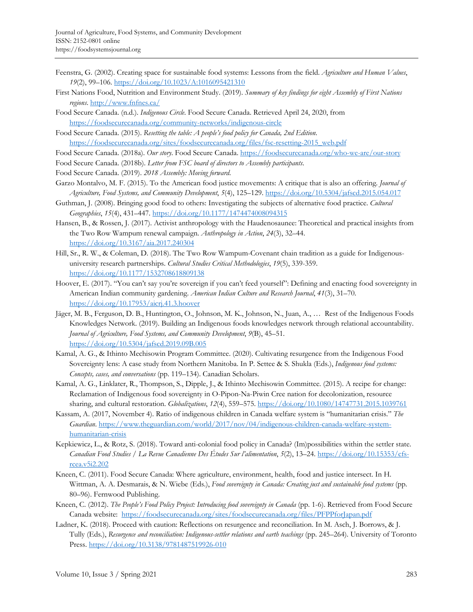- Feenstra, G. (2002). Creating space for sustainable food systems: Lessons from the field. *Agriculture and Human Values*, *19*(2), 99–106[. https://doi.org/10.1023/A:1016095421310](https://doi.org/10.1023/A:1016095421310)
- First Nations Food, Nutrition and Environment Study. (2019). *Summary of key findings for eight Assembly of First Nations regions*.<http://www.fnfnes.ca/>
- Food Secure Canada. (n.d.). *Indigenous Circle*. Food Secure Canada. Retrieved April 24, 2020, from <https://foodsecurecanada.org/community-networks/indigenous-circle>

Food Secure Canada. (2015). *Resetting the table: A people's food policy for Canada, 2nd Edition*. [https://foodsecurecanada.org/sites/foodsecurecanada.org/files/fsc-resetting-2015\\_web.pdf](https://foodsecurecanada.org/sites/foodsecurecanada.org/files/fsc-resetting-2015_web.pdf) 

- Food Secure Canada. (2018a). *Our story*. Food Secure Canada.<https://foodsecurecanada.org/who-we-are/our-story>
- Food Secure Canada. (2018b). *Letter from FSC board of directors to Assembly participants*.
- Food Secure Canada. (2019). *2018 Assembly: Moving forward*.
- Garzo Montalvo, M. F. (2015). To the American food justice movements: A critique that is also an offering. *Journal of Agriculture, Food Systems, and Community Development*, *5*(4), 125–129[. https://doi.org/10.5304/jafscd.2015.054.017](https://doi.org/10.5304/jafscd.2015.054.017)
- Guthman, J. (2008). Bringing good food to others: Investigating the subjects of alternative food practice. *Cultural Geographies*, *15*(4), 431–447.<https://doi.org/10.1177/1474474008094315>
- Hansen, B., & Rossen, J. (2017). Activist anthropology with the Haudenosaunee: Theoretical and practical insights from the Two Row Wampum renewal campaign. *Anthropology in Action*, *24*(3), 32–44. <https://doi.org/10.3167/aia.2017.240304>
- Hill, Sr., R. W., & Coleman, D. (2018). The Two Row Wampum-Covenant chain tradition as a guide for Indigenousuniversity research partnerships. *Cultural Studies Critical Methodologies*, *19*(5), 339-359. <https://doi.org/10.1177/1532708618809138>
- Hoover, E. (2017). "You can't say you're sovereign if you can't feed yourself": Defining and enacting food sovereignty in American Indian community gardening. *American Indian Culture and Research Journal*, *41*(3), 31–70. <https://doi.org/10.17953/aicrj.41.3.hoover>
- Jäger, M. B., Ferguson, D. B., Huntington, O., Johnson, M. K., Johnson, N., Juan, A., … Rest of the Indigenous Foods Knowledges Network. (2019). Building an Indigenous foods knowledges network through relational accountability. *Journal of Agriculture, Food Systems, and Community Development*, *9*(B), 45–51. <https://doi.org/10.5304/jafscd.2019.09B.005>
- Kamal, A. G., & Ithinto Mechisowin Program Committee. (2020). Cultivating resurgence from the Indigenous Food Sovereignty lens: A case study from Northern Manitoba. In P. Settee & S. Shukla (Eds.), *Indigenous food systems: Concepts, cases, and conversations* (pp. 119–134). Canadian Scholars.
- Kamal, A. G., Linklater, R., Thompson, S., Dipple, J., & Ithinto Mechisowin Committee. (2015). A recipe for change: Reclamation of Indigenous food sovereignty in O-Pipon-Na-Piwin Cree nation for decolonization, resource sharing, and cultural restoration. *Globalizations*, *12*(4), 559–575[. https://doi.org/10.1080/14747731.2015.1039761](https://doi.org/10.1080/14747731.2015.1039761)
- Kassam, A. (2017, November 4). Ratio of indigenous children in Canada welfare system is "humanitarian crisis." *The Guardian*. [https://www.theguardian.com/world/2017/nov/04/indigenous-children-canada-welfare-system](https://www.theguardian.com/world/2017/nov/04/indigenous-children-canada-welfare-system-humanitarian-crisis)[humanitarian-crisis](https://www.theguardian.com/world/2017/nov/04/indigenous-children-canada-welfare-system-humanitarian-crisis)
- Kepkiewicz, L., & Rotz, S. (2018). Toward anti-colonial food policy in Canada? (Im)possibilities within the settler state. *Canadian Food Studies / La Revue Canadienne Des Études Sur l'alimentation*, *5*(2), 13–24. [https://doi.org/10.15353/cfs](https://doi.org/10.15353/cfs-rcea.v5i2.202)[rcea.v5i2.202](https://doi.org/10.15353/cfs-rcea.v5i2.202)
- Kneen, C. (2011). Food Secure Canada: Where agriculture, environment, health, food and justice intersect. In H. Wittman, A. A. Desmarais, & N. Wiebe (Eds.), *Food sovereignty in Canada: Creating just and sustainable food systems* (pp. 80–96). Fernwood Publishing.
- Kneen, C. (2012). *The People's Food Policy Project: Introducing food sovereignty in Canada* (pp. 1-6). Retrieved from Food Secure Canada website: <https://foodsecurecanada.org/sites/foodsecurecanada.org/files/PFPPforJapan.pdf>
- Ladner, K. (2018). Proceed with caution: Reflections on resurgence and reconciliation. In M. Asch, J. Borrows, & J. Tully (Eds.), *Resurgence and reconciliation: Indigenous-settler relations and earth teachings* (pp. 245–264). University of Toronto Press.<https://doi.org/10.3138/9781487519926-010>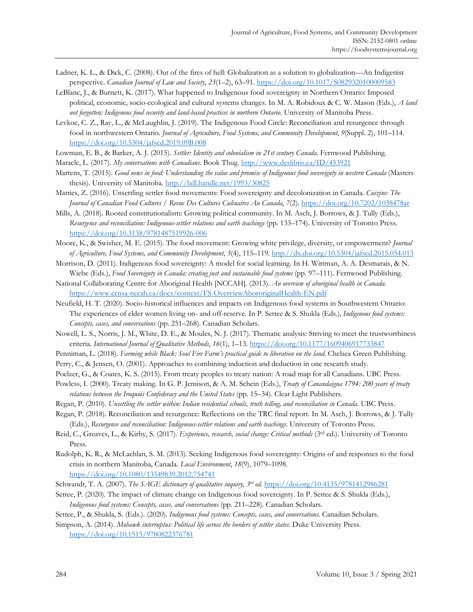- Ladner, K. L., & Dick, C. (2008). Out of the fires of hell: Globalization as a solution to globalization—An Indigenist perspective. *Canadian Journal of Law and Society*, *23*(1–2), 63–91.<https://doi.org/10.1017/S0829320100009583>
- LeBlanc, J., & Burnett, K. (2017). What happened to Indigenous food sovereignty in Northern Ontario: Imposed political, economic, socio-ecological and cultural systems changes. In M. A. Robidoux & C. W. Mason (Eds.), *A land not forgotten: Indigenous food security and land-based practices in northern Ontario*. University of Manitoba Press.
- Levkoe, C. Z., Ray, L., & McLaughlin, J. (2019). The Indigenous Food Circle: Reconciliation and resurgence through food in northwestern Ontario. *Journal of Agriculture, Food Systems, and Community Development*, *9*(Suppl. 2), 101–114. <https://doi.org/10.5304/jafscd.2019.09B.008>
- Lowman, E. B., & Barker, A. J. (2015). *Settler: Identity and colonialism in 21st century Canada*. Fernwood Publishing.
- Maracle, L. (2017). *My conversations with Canadians*. Book Thug.<http://www.deslibris.ca/ID/453921>
- Martens, T. (2015). *Good news in food: Understanding the value and promise of Indigenous food sovereignty in western Canada* (Masters thesis). University of Manitoba.<http://hdl.handle.net/1993/30825>
- Matties, Z. (2016). Unsettling settler food movements: Food sovereignty and decolonization in Canada. *Cuizine: The Journal of Canadian Food Cultures / Revue Des Cultures Culinaires Au Canada*, *7*(2).<https://doi.org/10.7202/1038478ar>
- Mills, A. (2018). Rooted constitutionalism: Growing political community. In M. Asch, J. Borrows, & J. Tully (Eds.), *Resurgence and reconciliation: Indigenous-settler relations and earth teachings* (pp. 133–174). University of Toronto Press. <https://doi.org/10.3138/9781487519926-006>
- Moore, K., & Swisher, M. E. (2015). The food movement: Growing white privilege, diversity, or empowerment? *Journal of Agriculture, Food Systems, and Community Development*, *5*(4), 115–119.<http://dx.doi.org/10.5304/jafscd.2015.054.013>
- Morrison, D. (2011). Indigenous food sovereignty: A model for social learning. In H. Wittman, A. A. Desmarais, & N. Wiebe (Eds.), *Food Sovereignty in Canada: creating just and sustainable food systems* (pp. 97–111). Fernwood Publishing.
- National Collaborating Centre for Aboriginal Health [NCCAH]. (2013). *An overview of aboriginal health in Canada*. <https://www.ccnsa-nccah.ca/docs/context/FS-OverviewAbororiginalHealth-EN.pdf>
- Neufield, H. T. (2020). Socio-historical influences and impacts on Indigenous food systems in Southwestern Ontario: The experiences of elder women living on- and off-reserve. In P. Settee & S. Shukla (Eds.), *Indigenous food systems: Concepts, cases, and conversations* (pp. 251–268). Canadian Scholars.
- Nowell, L. S., Norris, J. M., White, D. E., & Moules, N. J. (2017). Thematic analysis: Striving to meet the trustworthiness criteria. *International Journal of Qualitative Methods*, *16*(1), 1–13.<https://doi.org/10.1177/1609406917733847>
- Penniman, L. (2018). *Farming while Black: Soul Fire Farm's practical guide to liberation on the land*. Chelsea Green Publishing.
- Perry, C., & Jensen, O. (2001). Approaches to combining induction and deduction in one research study.
- Poelzer, G., & Coates, K. S. (2015). From treaty peoples to treaty nation: A road map for all Canadians. UBC Press.
- Powless, I. (2000). Treaty making. In G. P. Jemison, & A. M. Schein (Eds.), *Treaty of Canandaigua 1794: 200 years of treaty relations between the Iroquois Confederacy and the United States* (pp. 15–34). Clear Light Publishers.
- Regan, P. (2010). *Unsettling the settler within: Indian residential schools, truth telling, and reconciliation in Canada*. UBC Press. Regan, P. (2018). Reconciliation and resurgence: Reflections on the TRC final report. In M. Asch, J. Borrows, & J. Tully
	- (Eds.), *Resurgence and reconciliation: Indigenous-settler relations and earth teachings*. University of Toronto Press.
- Reid, C., Greaves, L., & Kirby, S. (2017). *Experience, research, social change: Critical methods* (3rd ed.). University of Toronto Press.
- Rudolph, K. R., & McLachlan, S. M. (2013). Seeking Indigenous food sovereignty: Origins of and responses to the food crisis in northern Manitoba, Canada. *Local Environment*, *18*(9), 1079–1098. <https://doi.org/10.1080/13549839.2012.754741>
- Schwandt, T. A. (2007). *The SAGE dictionary of qualitative inquiry, 3rd ed.* <https://doi.org/10.4135/9781412986281>
- Settee, P. (2020). The impact of climate change on Indigenous food sovereignty. In P. Settee & S. Shukla (Eds.), *Indigenous food systems: Concepts, cases, and conversations* (pp. 211–228). Canadian Scholars.
- Settee, P., & Shukla, S. (Eds.). (2020). *Indigenous food systems: Concepts, cases, and conversations*. Canadian Scholars.
- Simpson, A. (2014). *Mohawk interruptus: Political life across the borders of settler states*. Duke University Press. <https://doi.org/10.1515/9780822376781>